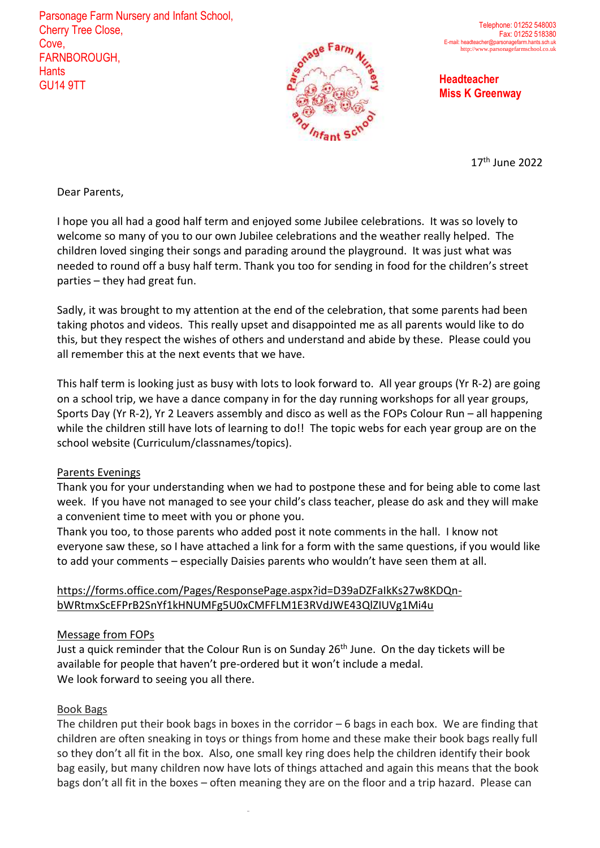Parsonage Farm Nursery and Infant School, Cherry Tree Close, Cove, FARNBOROUGH, **Hants** GU14 9TT **Headteacher**



**Miss K Greenway**

17<sup>th</sup> June 2022

Dear Parents,

I hope you all had a good half term and enjoyed some Jubilee celebrations. It was so lovely to welcome so many of you to our own Jubilee celebrations and the weather really helped. The children loved singing their songs and parading around the playground. It was just what was needed to round off a busy half term. Thank you too for sending in food for the children's street parties – they had great fun.

Sadly, it was brought to my attention at the end of the celebration, that some parents had been taking photos and videos. This really upset and disappointed me as all parents would like to do this, but they respect the wishes of others and understand and abide by these. Please could you all remember this at the next events that we have.

This half term is looking just as busy with lots to look forward to. All year groups (Yr R-2) are going on a school trip, we have a dance company in for the day running workshops for all year groups, Sports Day (Yr R-2), Yr 2 Leavers assembly and disco as well as the FOPs Colour Run – all happening while the children still have lots of learning to do!! The topic webs for each year group are on the school website (Curriculum/classnames/topics).

# Parents Evenings

Thank you for your understanding when we had to postpone these and for being able to come last week. If you have not managed to see your child's class teacher, please do ask and they will make a convenient time to meet with you or phone you.

Thank you too, to those parents who added post it note comments in the hall. I know not everyone saw these, so I have attached a link for a form with the same questions, if you would like to add your comments – especially Daisies parents who wouldn't have seen them at all.

# https://forms.office.com/Pages/ResponsePage.aspx?id=D39aDZFaIkKs27w8KDQnbWRtmxScEFPrB2SnYf1kHNUMFg5U0xCMFFLM1E3RVdJWE43QlZIUVg1Mi4u

# Message from FOPs

Just a quick reminder that the Colour Run is on Sunday 26<sup>th</sup> June. On the day tickets will be available for people that haven't pre-ordered but it won't include a medal. We look forward to seeing you all there.

# Book Bags

The children put their book bags in boxes in the corridor – 6 bags in each box. We are finding that children are often sneaking in toys or things from home and these make their book bags really full so they don't all fit in the box. Also, one small key ring does help the children identify their book bag easily, but many children now have lots of things attached and again this means that the book bags don't all fit in the boxes – often meaning they are on the floor and a trip hazard. Please can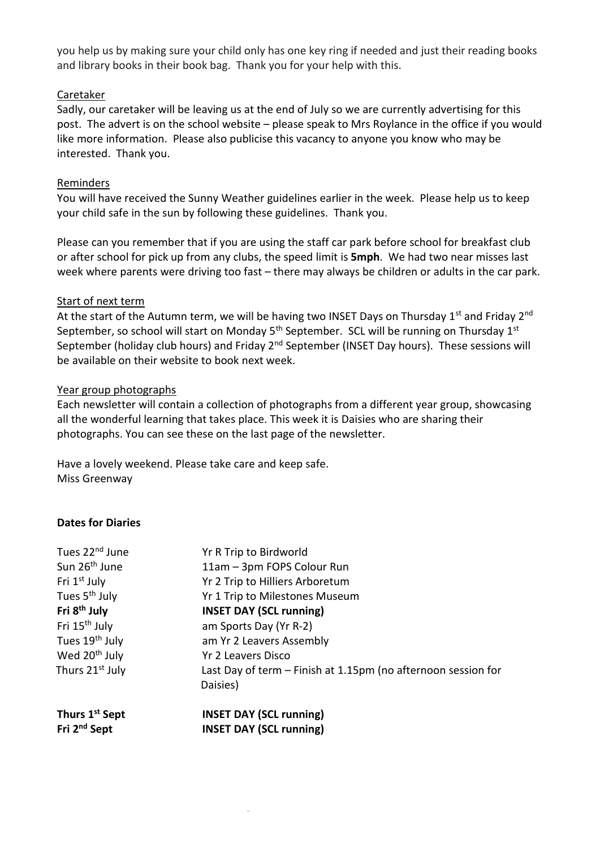you help us by making sure your child only has one key ring if needed and just their reading books and library books in their book bag. Thank you for your help with this.

# Caretaker

Sadly, our caretaker will be leaving us at the end of July so we are currently advertising for this post. The advert is on the school website – please speak to Mrs Roylance in the office if you would like more information. Please also publicise this vacancy to anyone you know who may be interested. Thank you.

#### Reminders

You will have received the Sunny Weather guidelines earlier in the week. Please help us to keep your child safe in the sun by following these guidelines. Thank you.

Please can you remember that if you are using the staff car park before school for breakfast club or after school for pick up from any clubs, the speed limit is **5mph**. We had two near misses last week where parents were driving too fast – there may always be children or adults in the car park.

#### Start of next term

At the start of the Autumn term, we will be having two INSET Days on Thursday  $1<sup>st</sup>$  and Friday  $2<sup>nd</sup>$ September, so school will start on Monday  $5<sup>th</sup>$  September. SCL will be running on Thursday  $1<sup>st</sup>$ September (holiday club hours) and Friday 2<sup>nd</sup> September (INSET Day hours). These sessions will be available on their website to book next week.

#### Year group photographs

Each newsletter will contain a collection of photographs from a different year group, showcasing all the wonderful learning that takes place. This week it is Daisies who are sharing their photographs. You can see these on the last page of the newsletter.

Have a lovely weekend. Please take care and keep safe. Miss Greenway

# **Dates for Diaries**

| Tues 22 <sup>nd</sup> June  | Yr R Trip to Birdworld                                                    |
|-----------------------------|---------------------------------------------------------------------------|
| Sun 26 <sup>th</sup> June   | 11am - 3pm FOPS Colour Run                                                |
| Fri 1 <sup>st</sup> July    | Yr 2 Trip to Hilliers Arboretum                                           |
| Tues 5 <sup>th</sup> July   | Yr 1 Trip to Milestones Museum                                            |
| Fri 8 <sup>th</sup> July    | <b>INSET DAY (SCL running)</b>                                            |
| Fri 15 <sup>th</sup> July   | am Sports Day (Yr R-2)                                                    |
| Tues 19 <sup>th</sup> July  | am Yr 2 Leavers Assembly                                                  |
| Wed 20 <sup>th</sup> July   | Yr 2 Leavers Disco                                                        |
| Thurs 21 <sup>st</sup> July | Last Day of term – Finish at 1.15pm (no afternoon session for<br>Daisies) |
| Thurs 1 <sup>st</sup> Sept  | <b>INSET DAY (SCL running)</b>                                            |
| Fri 2 <sup>nd</sup> Sept    | <b>INSET DAY (SCL running)</b>                                            |